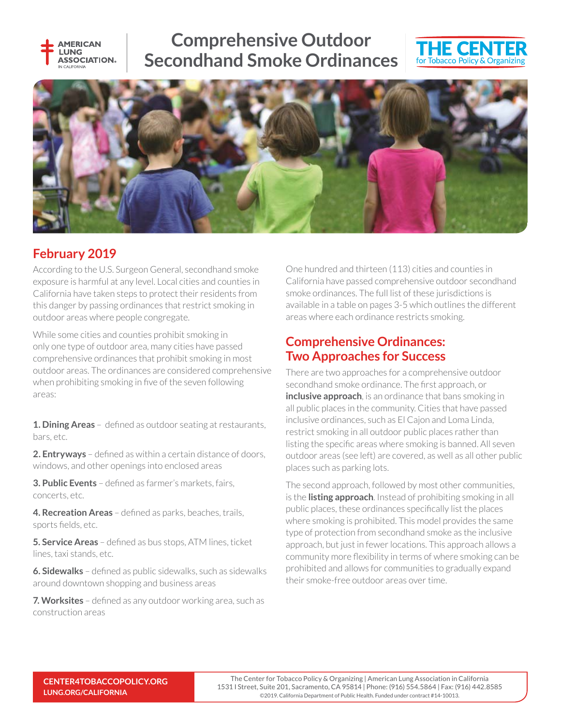

# **Comprehensive Outdoor Secondhand Smoke Ordinances**





## **February 2019**

According to the U.S. Surgeon General, secondhand smoke exposure is harmful at any level. Local cities and counties in California have taken steps to protect their residents from this danger by passing ordinances that restrict smoking in outdoor areas where people congregate.

While some cities and counties prohibit smoking in only one type of outdoor area, many cities have passed comprehensive ordinances that prohibit smoking in most outdoor areas. The ordinances are considered comprehensive when prohibiting smoking in five of the seven following areas:

**1. Dining Areas** – defined as outdoor seating at restaurants, bars, etc.

**2. Entryways** – defined as within a certain distance of doors, windows, and other openings into enclosed areas

**3. Public Events** – defined as farmer's markets, fairs, concerts, etc.

4. Recreation Areas - defined as parks, beaches, trails, sports fields, etc.

**5. Service Areas** – defined as bus stops, ATM lines, ticket lines, taxi stands, etc.

**6. Sidewalks** – defined as public sidewalks, such as sidewalks around downtown shopping and business areas

**7. Worksites** – defined as any outdoor working area, such as construction areas

One hundred and thirteen (113) cities and counties in California have passed comprehensive outdoor secondhand smoke ordinances. The full list of these jurisdictions is available in a table on pages 3-5 which outlines the different areas where each ordinance restricts smoking.

### **Comprehensive Ordinances: Two Approaches for Success**

There are two approaches for a comprehensive outdoor secondhand smoke ordinance. The first approach, or **inclusive approach**, is an ordinance that bans smoking in all public places in the community. Cities that have passed inclusive ordinances, such as El Cajon and Loma Linda, restrict smoking in all outdoor public places rather than listing the specific areas where smoking is banned. All seven outdoor areas (see left) are covered, as well as all other public places such as parking lots.

The second approach, followed by most other communities, is the **listing approach**. Instead of prohibiting smoking in all public places, these ordinances specifically list the places where smoking is prohibited. This model provides the same type of protection from secondhand smoke as the inclusive approach, but just in fewer locations. This approach allows a community more flexibility in terms of where smoking can be prohibited and allows for communities to gradually expand their smoke-free outdoor areas over time.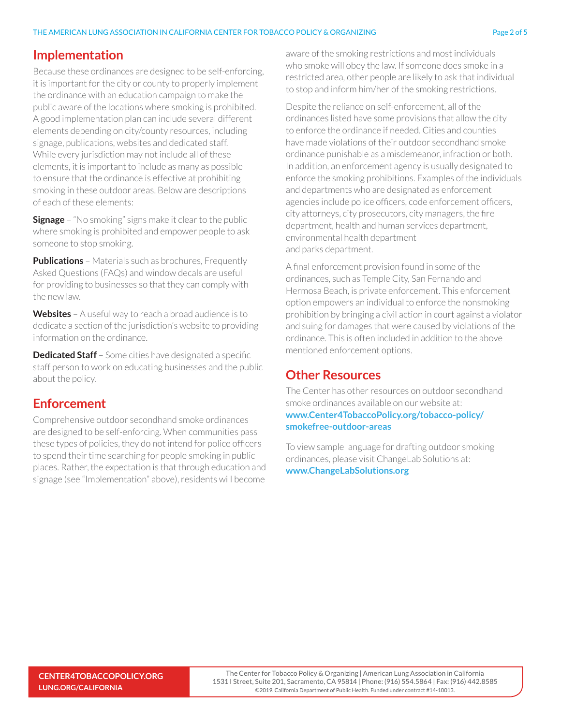Because these ordinances are designed to be self-enforcing, it is important for the city or county to properly implement the ordinance with an education campaign to make the public aware of the locations where smoking is prohibited. A good implementation plan can include several different elements depending on city/county resources, including signage, publications, websites and dedicated staff. While every jurisdiction may not include all of these elements, it is important to include as many as possible to ensure that the ordinance is effective at prohibiting smoking in these outdoor areas. Below are descriptions of each of these elements:

**Signage** – "No smoking" signs make it clear to the public where smoking is prohibited and empower people to ask someone to stop smoking.

**Publications** – Materials such as brochures, Frequently Asked Questions (FAQs) and window decals are useful for providing to businesses so that they can comply with the new law.

**Websites** – A useful way to reach a broad audience is to dedicate a section of the jurisdiction's website to providing information on the ordinance.

**Dedicated Staff** – Some cities have designated a specific staff person to work on educating businesses and the public about the policy.

# **Enforcement**

Comprehensive outdoor secondhand smoke ordinances are designed to be self-enforcing. When communities pass these types of policies, they do not intend for police officers to spend their time searching for people smoking in public places. Rather, the expectation is that through education and signage (see "Implementation" above), residents will become

aware of the smoking restrictions and most individuals who smoke will obey the law. If someone does smoke in a restricted area, other people are likely to ask that individual to stop and inform him/her of the smoking restrictions.

Despite the reliance on self-enforcement, all of the ordinances listed have some provisions that allow the city to enforce the ordinance if needed. Cities and counties have made violations of their outdoor secondhand smoke ordinance punishable as a misdemeanor, infraction or both. In addition, an enforcement agency is usually designated to enforce the smoking prohibitions. Examples of the individuals and departments who are designated as enforcement agencies include police officers, code enforcement officers, city attorneys, city prosecutors, city managers, the fire department, health and human services department, environmental health department and parks department.

A final enforcement provision found in some of the ordinances, such as Temple City, San Fernando and Hermosa Beach, is private enforcement. This enforcement option empowers an individual to enforce the nonsmoking prohibition by bringing a civil action in court against a violator and suing for damages that were caused by violations of the ordinance. This is often included in addition to the above mentioned enforcement options.

### **Other Resources**

The Center has other resources on outdoor secondhand smoke ordinances available on our website at: **www.Center4TobaccoPolicy.org/tobacco-policy/ smokefree-outdoor-areas**

To view sample language for drafting outdoor smoking ordinances, please visit ChangeLab Solutions at: **www.ChangeLabSolutions.org**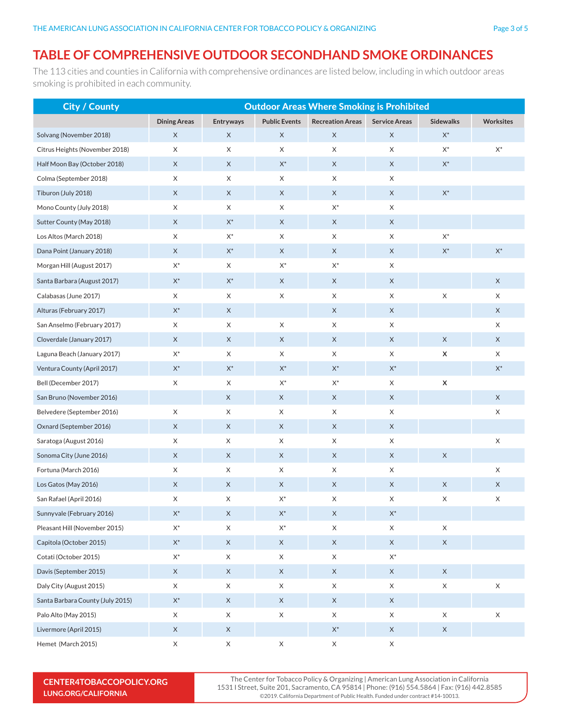#### **TABLE OF COMPREHENSIVE OUTDOOR SECONDHAND SMOKE ORDINANCES**

The 113 cities and counties in California with comprehensive ordinances are listed below, including in which outdoor areas smoking is prohibited in each community.

| <b>City / County</b>             | <b>Outdoor Areas Where Smoking is Prohibited</b> |                |                      |                         |                      |                  |                  |
|----------------------------------|--------------------------------------------------|----------------|----------------------|-------------------------|----------------------|------------------|------------------|
|                                  | <b>Dining Areas</b>                              | Entryways      | <b>Public Events</b> | <b>Recreation Areas</b> | <b>Service Areas</b> | <b>Sidewalks</b> | <b>Worksites</b> |
| Solvang (November 2018)          | X                                                | X              | X                    | X                       | X                    | $\mathsf{X}^*$   |                  |
| Citrus Heights (November 2018)   | X                                                | X              | X                    | X                       | X                    | $\mathsf{X}^*$   | $\mathsf{X}^*$   |
| Half Moon Bay (October 2018)     | $\mathsf X$                                      | X              | $\mathsf{X}^*$       | X                       | X                    | $\mathsf{X}^*$   |                  |
| Colma (September 2018)           | X                                                | X              | X                    | X                       | X                    |                  |                  |
| Tiburon (July 2018)              | X                                                | X              | X                    | X                       | X                    | $\mathsf{X}^*$   |                  |
| Mono County (July 2018)          | X                                                | X              | X                    | $X^*$                   | X                    |                  |                  |
| Sutter County (May 2018)         | $\mathsf X$                                      | $\mathsf{X}^*$ | $\mathsf X$          | $\mathsf X$             | X                    |                  |                  |
| Los Altos (March 2018)           | X                                                | $\mathsf{X}^*$ | X                    | X                       | X                    | $\mathsf{X}^*$   |                  |
| Dana Point (January 2018)        | X                                                | $\mathsf{X}^*$ | X                    | X                       | $\mathsf X$          | $\mathsf{X}^*$   | $\mathsf{X}^*$   |
| Morgan Hill (August 2017)        | $\mathsf{X}^*$                                   | X              | $X^*$                | $X^*$                   | X                    |                  |                  |
| Santa Barbara (August 2017)      | $\mathsf{X}^*$                                   | $\mathsf{X}^*$ | X                    | X                       | X                    |                  | X                |
| Calabasas (June 2017)            | X                                                | X              | X                    | X                       | X                    | X                | X                |
| Alturas (February 2017)          | $\mathsf{X}^*$                                   | X              |                      | X                       | X                    |                  | X                |
| San Anselmo (February 2017)      | X                                                | X              | X                    | X                       | X                    |                  | X                |
| Cloverdale (January 2017)        | X                                                | X              | X                    | X                       | X                    | X                | X                |
| Laguna Beach (January 2017)      | $\mathsf{X}^*$                                   | X              | X                    | X                       | X                    | X                | X                |
| Ventura County (April 2017)      | $\mathsf{X}^*$                                   | $\mathsf{X}^*$ | $\mathsf{X}^*$       | $\mathsf{X}^*$          | $X^*$                |                  | $\mathsf{X}^*$   |
| Bell (December 2017)             | X                                                | X              | $\mathsf{X}^*$       | $X^*$                   | X                    | $\pmb{\times}$   |                  |
| San Bruno (November 2016)        |                                                  | X              | X                    | $\mathsf X$             | X                    |                  | X                |
| Belvedere (September 2016)       | X                                                | X              | X                    | X                       | X                    |                  | X                |
| Oxnard (September 2016)          | $\boldsymbol{\mathsf{X}}$                        | X              | X                    | $\mathsf X$             | $\mathsf X$          |                  |                  |
| Saratoga (August 2016)           | X                                                | X              | X                    | X                       | X                    |                  | X                |
| Sonoma City (June 2016)          | X                                                | X              | X                    | X                       | X                    | X                |                  |
| Fortuna (March 2016)             | X                                                | X              | X                    | X                       | X                    |                  | X                |
| Los Gatos (May 2016)             | X                                                | X              | X                    | X                       | X                    | X                | X                |
| San Rafael (April 2016)          | X                                                | X              | $\mathsf{X}^*$       | X                       | X                    | X                | X                |
| Sunnyvale (February 2016)        | $\mathsf{X}^*$                                   | $\mathsf X$    | $\mathsf{X}^*$       | $\mathsf X$             | $\mathsf{X}^*$       |                  |                  |
| Pleasant Hill (November 2015)    | $\mathsf{X}^*$                                   | $\mathsf X$    | $\mathsf{X}^*$       | X                       | X                    | $\mathsf X$      |                  |
| Capitola (October 2015)          | $\mathsf{X}^*$                                   | $\mathsf X$    | X                    | $\mathsf{X}$            | $\times$             | $\mathsf X$      |                  |
| Cotati (October 2015)            | $\mathsf{X}^*$                                   | $\mathsf X$    | X                    | X                       | $\mathsf{X}^*$       |                  |                  |
| Davis (September 2015)           | $\mathsf X$                                      | X              | X                    | X                       | X                    | $\mathsf X$      |                  |
| Daly City (August 2015)          | X                                                | X              | X                    | X                       | X                    | $\mathsf X$      | X                |
| Santa Barbara County (July 2015) | $\mathsf{X}^*$                                   | $\mathsf X$    | $\mathsf X$          | $\mathsf X$             | $\mathsf X$          |                  |                  |
| Palo Alto (May 2015)             | X                                                | $\mathsf X$    | $\mathsf X$          | X                       | X                    | X                | $\mathsf X$      |
| Livermore (April 2015)           | $\mathsf X$                                      | X              |                      | $\mathsf{X}^*$          | $\mathsf{X}$         | $\mathsf X$      |                  |
| Hemet (March 2015)               | $\mathsf X$                                      | $\mathsf X$    | $\mathsf X$          | $\mathsf X$             | $\mathsf X$          |                  |                  |

**CENTER4TOBACCOPOLICY.ORG LUNG.ORG/CALIFORNIA**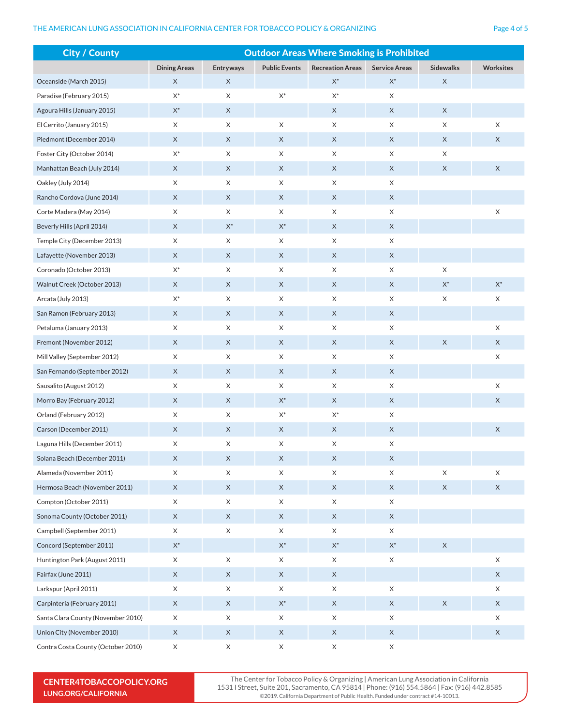#### THE AMERICAN LUNG ASSOCIATION IN CALIFORNIA CENTER FOR TOBACCO POLICY & ORGANIZING

| Ð    |  |         |  |
|------|--|---------|--|
| ⊣⊴פ∽ |  | 20 4 OI |  |
|      |  |         |  |

| <b>City / County</b>               | <b>Outdoor Areas Where Smoking is Prohibited</b> |                           |                      |                         |                      |                  |                  |
|------------------------------------|--------------------------------------------------|---------------------------|----------------------|-------------------------|----------------------|------------------|------------------|
|                                    | <b>Dining Areas</b>                              | Entryways                 | <b>Public Events</b> | <b>Recreation Areas</b> | <b>Service Areas</b> | <b>Sidewalks</b> | <b>Worksites</b> |
| Oceanside (March 2015)             | X                                                | $\mathsf X$               |                      | $\mathsf{X}^*$          | $\mathsf{X}^*$       | X                |                  |
| Paradise (February 2015)           | $\mathsf{X}^*$                                   | $\boldsymbol{\mathsf{X}}$ | $\mathsf{X}^*$       | $\mathsf{X}^*$          | X                    |                  |                  |
| Agoura Hills (January 2015)        | $\mathsf{X}^*$                                   | X                         |                      | X                       | X                    | X                |                  |
| El Cerrito (January 2015)          | X                                                | $\boldsymbol{\mathsf{X}}$ | X                    | X                       | X                    | X                | X                |
| Piedmont (December 2014)           | X                                                | X                         | X                    | X                       | $\mathsf X$          | X                | X                |
| Foster City (October 2014)         | $\mathsf{X}^*$                                   | X                         | X                    | X                       | X                    | X                |                  |
| Manhattan Beach (July 2014)        | X                                                | $\mathsf X$               | X                    | X                       | X                    | X                | X                |
| Oakley (July 2014)                 | X                                                | X                         | X                    | X                       | X                    |                  |                  |
| Rancho Cordova (June 2014)         | $\mathsf X$                                      | $\mathsf X$               | $\mathsf X$          | $\mathsf X$             | X                    |                  |                  |
| Corte Madera (May 2014)            | X                                                | X                         | X                    | X                       | X                    |                  | $\mathsf X$      |
| Beverly Hills (April 2014)         | X                                                | $\mathsf{X}^*$            | $\mathsf{X}^*$       | X                       | $\mathsf X$          |                  |                  |
| Temple City (December 2013)        | X                                                | X                         | X                    | X                       | X                    |                  |                  |
| Lafayette (November 2013)          | X                                                | X                         | X                    | X                       | X                    |                  |                  |
| Coronado (October 2013)            | $\mathsf{X}^*$                                   | X                         | X                    | X                       | X                    | X                |                  |
| Walnut Creek (October 2013)        | X                                                | X                         | X                    | X                       | X                    | $\mathsf{X}^*$   | $\mathsf{X}^*$   |
| Arcata (July 2013)                 | $\mathsf{X}^*$                                   | $\boldsymbol{\mathsf{X}}$ | X                    | X                       | X                    | X                | X                |
| San Ramon (February 2013)          | X                                                | X                         | X                    | X                       | X                    |                  |                  |
| Petaluma (January 2013)            | X                                                | X                         | X                    | X                       | X                    |                  | X                |
| Fremont (November 2012)            | $\mathsf X$                                      | X                         | X                    | X                       | $\mathsf X$          | X                | X                |
| Mill Valley (September 2012)       | X                                                | X                         | X                    | X                       | X                    |                  | X                |
| San Fernando (September 2012)      | X                                                | X                         | X                    | X                       | X                    |                  |                  |
| Sausalito (August 2012)            | X                                                | X                         | X                    | X                       | X                    |                  | X                |
| Morro Bay (February 2012)          | X                                                | X                         | $\mathsf{X}^*$       | X                       | X                    |                  | X                |
| Orland (February 2012)             | X                                                | X                         | $\mathsf{X}^*$       | $\mathsf{X}^*$          | X                    |                  |                  |
| Carson (December 2011)             | $\mathsf X$                                      | $\boldsymbol{\mathsf{X}}$ | $\mathsf X$          | X                       | $\mathsf X$          |                  | X                |
| Laguna Hills (December 2011)       | X                                                | X                         | X                    | X                       | X                    |                  |                  |
| Solana Beach (December 2011)       | $\mathsf X$                                      | $\mathsf X$               | $\mathsf X$          | $\mathsf X$             | $\mathsf X$          |                  |                  |
| Alameda (November 2011)            | X                                                | X                         | X                    | X                       | X                    | $\mathsf X$      | $\mathsf X$      |
| Hermosa Beach (November 2011)      | $\mathsf X$                                      | $\mathsf X$               | $\mathsf X$          | X                       | $\mathsf{X}$         | X                | $\mathsf X$      |
| Compton (October 2011)             | X                                                | $\boldsymbol{\mathsf{X}}$ | X                    | X                       | $\mathsf X$          |                  |                  |
| Sonoma County (October 2011)       | X                                                | $\boldsymbol{\mathsf{X}}$ | $\mathsf X$          | X                       | $\mathsf{X}$         |                  |                  |
| Campbell (September 2011)          | $\mathsf X$                                      | $\mathsf X$               | X                    | X                       | X                    |                  |                  |
| Concord (September 2011)           | $\mathsf{X}^*$                                   |                           | $\mathsf{X}^*$       | $\mathsf{X}^*$          | $\mathsf{X}^*$       | X                |                  |
| Huntington Park (August 2011)      | X                                                | $\boldsymbol{\mathsf{X}}$ | X                    | X                       | $\mathsf X$          |                  | $\mathsf X$      |
| Fairfax (June 2011)                | $\mathsf X$                                      | $\mathsf X$               | $\mathsf X$          | $\mathsf X$             |                      |                  | $\mathsf X$      |
| Larkspur (April 2011)              | X                                                | $\boldsymbol{\mathsf{X}}$ | X                    | X                       | X                    |                  | X                |
| Carpinteria (February 2011)        | $\mathsf X$                                      | $\mathsf X$               | $\mathsf{X}^*$       | $\mathsf X$             | $\mathsf X$          | $\mathsf X$      | X                |
| Santa Clara County (November 2010) | X                                                | X                         | $\mathsf X$          | X                       | X                    |                  | X                |
| Union City (November 2010)         | $\mathsf X$                                      | $\boldsymbol{\mathsf{X}}$ | $\mathsf X$          | X                       | $\mathsf X$          |                  | $\mathsf X$      |
| Contra Costa County (October 2010) | X                                                | $\boldsymbol{\mathsf{X}}$ | X                    | X                       | X                    |                  |                  |

**CENTER4TOBACCOPOLICY.ORG LUNG.ORG/CALIFORNIA**